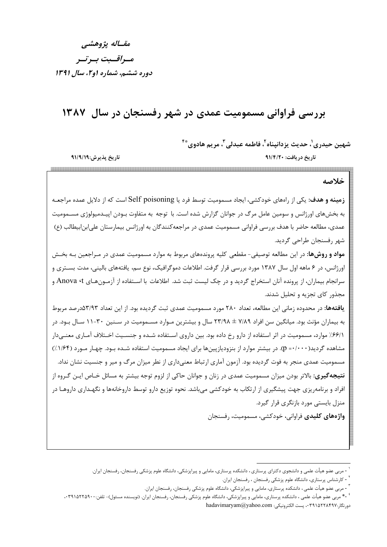مقساله يژوهشي مسراقسيت بسرتسر دوره ششم، شماره او ۲، سال ۱۳۹۱

تاريخ پذيرش:٩١/٩/١٩

## بررسی فراوانی مسمومیت عمدی در شهر رفسنجان در سال ۱۳۸۷

شهين حيدري'، حديث يزدانيناه'، فاطمه عبدلي' ، مريم هادوي ُّ أ

تاريخ دريافت: ٩١/٤/٢٠ 

خلاصه

**زمینه و هدف**: یکی از رامهای خودکشی، ایجاد مسمومیت توسط فرد یا Self poisoning است که از دلایل عمده مراجعـه به بخشهای اورژانس و سومین عامل مرگ در جوانان گزارش شده است. با توجه به متفاوت بـودن اپیــدمیولوژی مســمومیت عمدي، مطالعه حاضر با هدف بررسي فراواني مسموميت عمدي در مراجعه كنندگان به اورژانس بيمارستان على ابن ابيطالب (ع) شهر ,فسنجان طراحي گرديد.

**مواد و روشها**: در این مطالعه توصیفی- مقطعی کلیه پروندههای مربوط به موارد مسمومیت عمدی در مـراجعین بـه بخـش اورژانس، در ۶ ماهه اول سال ۱۳۸۷ مورد بررسی قرار گرفت. اطلاعات دموگرافیک، نوع سم، یافتههای بالینی، مدت بسـتری و سرانجام بیماران، از پرونده آنان استخراج گردید و در چک لیست ثبت شد. اطلاعات با اسـتفاده از آزمـونهـای Anova ۰t و مجذور کای تجزیه و تحلیل شدند.

**یافتهها:** در محدوده زمانی این مطالعه، تعداد ۲۸۰ مورد مسمومیت عمدی ثبت گردیده بود. از این تعداد ۵۳/۹۳درصد مربوط به بیماران مؤنث بود. میانگین سن افراد ۷/۸۹ ± ۲۳/۹۸ سال و بیشترین مـوارد مســمومیت در ســنین ۳۰-۱۱ سـال بـود. در ۶۶/۱/ موارد، مسمومیت در اثر استفاده از دارو رخ داده بود. بین داروی اسـتفاده شـده و جنسـیت اخـتلاف آمـاری معنـیدار مشاهده گردید( p =٠/٠٠٠). در بیشتر موارد از بنزودیازپینها برای ایجاد مسمومیت استفاده شـده بـود. چهـار مـورد (۱/۶۴٪) مسمومیت عمدی منجر به فوت گردیده بود. آزمون آماری ارتباط معنیداری از نطر میزان مرگ و میر و جنسیت نشان نداد. **نتیجه گیری:** بالاتر بودن میزان مسمومیت عمدی در زنان و جوانان حاکی از لزوم توجه بیشتر به مسائل خـاص ایــن گــروه از افراد و برنامهریزی جهت پیشگیری از ارتکاب به خودکشی می باشد. نحوه توزیع دارو توسط داروخانهها و نگهـداری داروهـا در منزل بایستی مورد بازنگری قرار گیرد.

**واژههای کلیدی** فراوانی، خودکشی، مسمومیت، رفسنجان

<sup>-</sup> مربی عضو هیأت علمی و دانشجوی دکترای پرستاری ، دانشکده پرستاری، مامایی و پیراپزشکی، دانشگاه علوم پزشکی رفسنجان، رفسنجان ایران.

<sup>&</sup>lt;sup>۱</sup> - کارشناس پرستاری، دانشگاه علوم پزشکی رفسنجان ، رفسنجان ایران.

<sup>&</sup>lt;sup>۳</sup> - مربی عضو هیأت علمی ، دانشکده پرستاری، مامایی و پیراپزشکی، دانشگاه علوم پزشکی رفسنجان، رفسنجان ایران.

<sup>&</sup>lt;sup>، ۴</sup>۰ مربی عضو هیأت علمی ، دانشکده پرستاری، مامایی و پیراپزشکی، دانشگاه علوم پزشکی رفسنجان، رفسنجان ایران. (نویسنده مسئول)- تلفن:۲۹۱۵۲۲۵۹۰۰، ۰۳۹۱۱ دورنگار:۰۳۹۱۵۲۲۸۴۹۷ . پست الکترونیکی: hadavimaryam@yahoo.com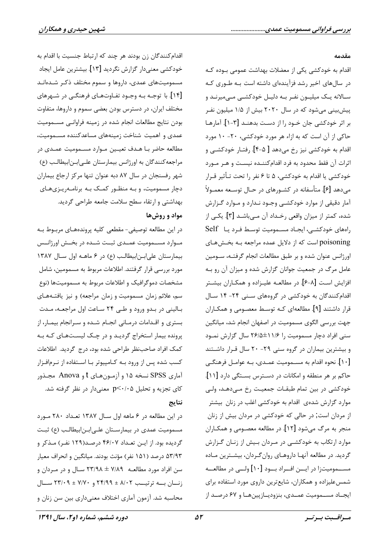## مقدمه

اقدام به خودکشی یکی از معضلات بهداشت عمومی بـوده کـه در سال های اخیر رشد فزآیندهای داشته است بـه طـوری کـه سـالانه يـک ميليـون نفـر بـه دليـل خودکشـي مـي،ميرنـد و پیش بینی می شود که در سال ۲۰۲۰ بیش از ۱/۵ میلیون نفـر بر اثر خودکشی جان خـود را از دسـت بدهنـد [۳-۱]. آمارهـا حاکی از آن است که به ازاء هر مورد خودکشی، ۲۰- ۱۰ مورد اقدام به خودکشی نیز رخ میدهد [ ۵-۴]. رفتـار خودکشــی و اثرات آن فقط محدود به فرد اقدام كننـده نيسـت و هـر مـورد خودکشی یا اقدام به خودکشی، ۵ تا ۶ نفر را تحت تـأثیر قـرار می دهد [۶]. متأسفانه در کشـورهای در حـال توسـعه معمـولاً آمار دقیقی از موارد خودکشـی وجـود نـدارد و مـوارد گـزارش شده، کمتر از میزان واقعی رخـداد آن مـیباشـد [۳]. یکـی از راههای خودکشی، ایجاد مسمومیت توسط فرد یا Self poisoning است که از دلایل عمده مراجعه بـه بخـشهـای اورژانس عنوان شده و بر طبق مطالعات انجام گرفتـه، سـومین عامل مرگ در جمعیت جوانان گزارش شده و میزان آن رو بـه افزایش است [۶-۶]. در مطالعـه علیـزاده و همکـاران بیشـتر اقدام کنندگان به خودکشی در گروههای سـنی ۲۴- ۱۴ سـال قرار داشتند [۹]. مطالعهای کـه توسـط معصـومی و همکــاران جهت بررسی الگوی مسمومیت در اصفهان انجام شد، میانگین سنی افراد دچار مسمومیت را ۱۱/۶±۲۶/۵ سال گزارش نمـود و بیشترین بیماران در گروه سنی ۲۹- ۲۰ سال قـرار داشـتند [۱۰]. نحوه اقدام به مســمومیت عمــدی، بــه عوامــل فرهنگــی حاکم بر هر منطقه و امکانات در دسـترس بسـتگی دارد [۱۱]. خودکشی در بین تمام طبقـات جمعیـت رخ مـیدهـد، ولـی موارد گزارش شدهی اقدام به خودکشی اغلب در زنان بیشتر از مردان است, در حالی که خودکشی در مردان بیش از زنان منجر به مرگ میشود [۱۲]. در مطالعه معصـومی و همکـاران موارد ارتکاب به خودکشـی در مـردان بـیش از زنـان گـزارش گردید. در مطالعه آنها داروهـای روانگـردان، بیشـترین مـاده مســـمومیتزا در ایـــن افــراد بـــود [۱۰] ولــی در مطالعـــه شمسعلیزاده و همکاران، شایعترین داروی مورد استفاده برای ايجــاد مســموميت عمــدي، بنزوديــازيينهــا و ۶۷ درصــد از

اقدام كنندگان زن بودند هر چند كه ارتباط جنسيت با اقدام به خودكشي معنىدار گزارش نگرديد [١٣]. بيشترين عامل ايجاد مسمومیتهای عمدی، داروها و سموم مختلف ذکـر شـدهانـد [۱۴]. با توجـه بـه وجـود تفـاوتهـای فرهنگـی در شـهرهای مختلف ایران، در دسترس بودن بعضی سموم و داروها، متفاوت بودن نتايج مطالعات انجام شده در زمينه فراوانـي مسـموميت عمدی و اهمیت شناخت زمینههای مساعدکننده مسـمومیت، مطالعه حاضر بـا هـدف تعيـين مـوارد مسـموميت عمـدى در مراجعه كنندگان به اورژانس بيمارستان على ابن ابيطالب (ع) شهر رفسنجان در سال ۸۷ دبه عنوان تنها مرکز ارجاع بیماران دچار مسمومیت، و بـه منظـور کمـک بـه برنامـهریـزیهـای بهداشتی و ارتقاء سطح سلامت جامعه طراحی گردید. مواد و روشها

در این مطالعه توصیفی- مقطعی کلیه پروندههـای مربـوط بـه مـوارد مســمومیت عمــدی ثبــت شــده در بخــش اورژانــس بیمارستان علی ابـن ابیطالـب (ع) در ۶ ماهـه اول سـال ۱۳۸۷ مورد بررسی قرار گرفتند. اطلاعات مربوط به مسمومین، شامل مشخصات دموگرافیک و اطلاعات مربوط به مسمومیتها (نوع سم، علائم زمان مسمومیت و زمان مراجعه) و نیز یافتـههـای بـالینی در بـدو ورود و طـی ۲۴ سـاعت اول مراجعـه، مـدت بستری و اقـدامات درمـانی انجـام شـده و سـرانجام بیمـار، از پرونده بیمار استخراج گردید و در چک لیستهای که به كمك افراد صاحب نظر طراحي شده بود، درج گرديد. اطلاعات کسب شده پس از ورود بـه کـامپیوتر بـا اسـتفاده از نـرمافـزار آماري SPSS نسخه ۱۵ و آزمونهاي t و Anova مجـذور کای تجزیه و تحلیل p<٠/٠۵ معنیدار در نظر گرفته شد. نتايج

در این مطالعه در ۶ ماهه اول سال ۱۳۸۷ تعداد ۲۸۰ مورد مسمومیت عمدی در بیمارستان علی|بن|بیطالب (ع) ثبت گردیده بود. از ایـن تعـداد ۴۶/۰۷ درصـد(۱۲۹ نفـر) مـذکر و ۵۳/۹۳ درصد (۱۵۱ نفر) مؤنث بودند. میانگین و انحراف معیار سن افراد مورد مطالعـه ۷/۸۹ ± ۲۳/۹۸ سـال و در مـردان و  $\mathcal{N} \rightarrow \mathcal{N}$ زنسان بسه ترتیسب ۸/۰۲ ± ۲۳/۰۹ میسال محاسبه شد. آزمون آماری اختلاف معنی۱داری بین سن زنان و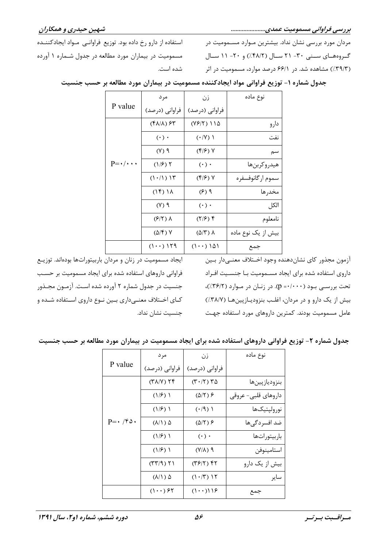بررسی فراوانی مسمومیت عمدی......................

شهين حيدري و همكاران

مردان مورد بررسی نشان نداد. بیشترین مـوارد مسـمومیت در گروههای سنبی ۳۰- ۲۱ سال (۴۸/۲٪) و ۲۰- ۱۱ سال (٣٩/٣٪) مشاهده شد. در ۶۶/۱ درصد موارد، مسمومیت در اثر

استفاده از دارو رخ داده بود. توزیع فراوانبی مواد ایجادکننـده مسمومیت در بیماران مورد مطالعه در جدول شـماره ۱ آورده شده است.

| P value                   | مرد                                                    | زن                              | نوع ماده           |
|---------------------------|--------------------------------------------------------|---------------------------------|--------------------|
|                           | فراوانی (درصد)                                         | فراوانی (درصد)                  |                    |
|                           | $(\mathfrak{f}\Lambda/\Lambda)\mathcal{F}\mathfrak{r}$ | $(YF/Y)$ 115                    | دارو               |
| $P = \cdot / \cdot \cdot$ | $(\cdot)$ .                                            | $(\cdot / V)$                   | نفت                |
|                           | (1)                                                    | $(\mathfrak{f}/\mathfrak{F})$ Y | سم                 |
|                           | $(1/\epsilon)$ ٢                                       | $(\cdot)$ .                     | هيدروكربنها        |
|                           | $(1 \cdot / 1)$ $15$                                   | (۴/۶) ۷                         | سموم ارگانوفسفره   |
|                           | $(1f)$ $1\Lambda$                                      | $(5)$ ۹                         | مخدرها             |
|                           | (1)                                                    | $(\cdot)$ .                     | الكل               |
|                           | $(F Y)$ $\Lambda$                                      | $(7/5)$ ۴                       | نامعلوم            |
|                           | (۵/۴) ۷                                                | $(\Delta/\Upsilon)$ $\Lambda$   | بیش از یک نوع ماده |
|                           | $(1 \cdot \cdot)$ 129                                  | $(1 \cdot \cdot) 101$           | جمع                |

جدول شماره ۱– توزیع فراوانی مواد ایجادکننده مسمومیت در بیماران مورد مطالعه بر حسب جنسیت

آزمون مجذور كاي نشان دهنده وجود اخـتلاف معنـي دار بـين داروی استفاده شده برای ایجاد مسـمومیت بـا جنسـیت افـراد تحت بررسـی بـود (۰۰۰+۰= p). در زنـان در مـوارد (۳۶/۲٪)، بیش از یک دارو و در مردان، اغلب بنزودیازپینها (٣٨/٧٪) عامل مسمومیت بودند. کمترین داروهای مورد استفاده جهت

ایجاد مسمومیت در زنان و مردان باربیتوراتها بودهاند. توزیـع فراوانی داروهای استفاده شده برای ایجاد مسمومیت بر حسب جنسیت در جدول شماره ۲ آورده شده است. آزمـون مجـذور کـای اخـتلاف معنـیداری بـین نـوع داروی اسـتفاده شـده و جنسیت نشان نداد.

|  |  |  |  | جدول شماره ۲- توزیع فراوانی داروهای استفاده شده برای ایجاد مسمومیت در بیماران مورد مطالعه بر حسب جنسیت |  |  |  |
|--|--|--|--|--------------------------------------------------------------------------------------------------------|--|--|--|
|--|--|--|--|--------------------------------------------------------------------------------------------------------|--|--|--|

|                                 | مرد                          | زن                           | نوع ماده            |
|---------------------------------|------------------------------|------------------------------|---------------------|
| P value                         | فراوانی (درصد)               | فراوانی (درصد)               |                     |
| $P = \cdot / \hat{r} \hat{o}$ . | $(T\Lambda/V)$ $\Upsilon f$  | $(T \cdot   Y)$ $Y \Delta$   | بنزودياز پينها      |
|                                 | $(1/\mathcal{F})$ )          | $(\Delta/\Upsilon)$ ۶        | داروهای قلبی- عروقی |
|                                 | (1/5)                        | $( \cdot / 9)$               | نورولپتيکھا         |
|                                 | ۵ (۸/۱)                      | $(\Delta/\Upsilon)$ &        | ضد افسردگی ها       |
|                                 | (1/5)                        | $(\cdot)$ .                  | باربيتوراتها        |
|                                 | (1/5)                        | $(1/\lambda)$ ٩              | استامينوفن          |
|                                 | $(77/9)$ $71$                | ۴۲ (۳۶/۲)                    | بیش از یک دارو      |
|                                 | $(\lambda/\Lambda)$ $\Delta$ | $(1 \cdot   \mathcal{F})$ 15 | ساير                |
|                                 | $(1 \cdot \cdot)$ ۶۲         | $(1 \cdot \cdot)119$         | جمع                 |

مسراقسبت بسرتسر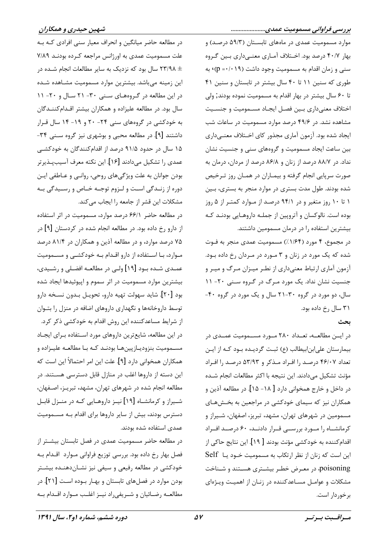موارد مسمومیت عمدی در ماههای تابستان (۵۹/۳ درصد) و بهار ۴۰/۷ درصد بود. اخـتلاف آمـاري معنـيcاري بـين گـروه سنی و زمان اقدام به مسمومیت وجود داشت (۱۹+۰= p) به طوری که سنین ۱۱ تا ۴۰ سال بیشتر در تابستان و سنین ۴۱ تا ۶۰ سال بیشتر در بهار اقدام به مسمومیت نموده بودند, ولی اختلاف معنىداري بين فصل ايجـاد مسـموميت و جنسـيت مشاهده نشد. در ۴۹/۶ درصد موارد مسمومیت در ساعات شب ایجاد شده بود. آزمون آماری مجذور کای اخـتلاف معنـیداری بین ساعت ایجاد مسمومیت و گروههای سنی و جنسیت نشان نداد. در ۸۸/۷ درصد از زنان و ۸۶/۸ درصد از مردان، درمان به صورت سرپایی انجام گرفته و بیمـاران در همـان روز تـرخیص شده بودند. طول مدت بستری در موارد منجر به بستری، بـین ۱ تا ۱۰ روز متغیر و در ۹۴/۱ درصد از موارد کمتر از ۵ روز بوده است. نالوکسان و آتروپین از جملـه داروهـایی بودنـد کـه بیشترین استفاده را در درمان مسمومین داشتند.

در مجموع، ۴ مورد (۱/۶۴٪) مسمومیت عمدی منجر به فـوت شده که یک مورد در زنان و ۳ مورد در مردان رخ داده بود. آزمون آماری ارتباط معنیداری از نطر میـزان مـرگ و میـر و جنسیت نشان نداد. یک مورد مرگ در گروه سنی ۲۰- ۱۱ سال، دو مورد در گروه ۳۰-۲۱ سال و یک مورد در گروه ۴۰-۳۱ سال رخ داده بود.

## بحث

در ایسن مطالعه، تعـداد ۲۸۰ مـورد مســمومیت عمــدی در بیمارستان علی ابن ابیطالب (ع) ثبت گردیـده بـود کـه از ایـن تعداد ۴۶/۰۷ درصد را افـراد مـذکر و ۵۳/۹۳ درصـد را افـراد مؤنث تشكيل مي دادند. اين نتيجه با اكثر مطالعات انجام شــده در داخل و خارج همخوانی دارد [ ۱۸– ۱۵]. در مطالعه آذین و همکاران نیز که سیمای خودکشی در مراجعین به بخـشهـای مسمومین در شهرهای تهران، مشهد، تبریز، اصفهان، شـیراز و كرمانشـاه را مـورد بررسـي قـرار دادنـد، ۶۰ درصـد افـراد اقدام كننده به خودكشي مؤنث بودند [ ١٩]. اين نتايج حاكي از این است که زنان از نظر ارتکاب به مسمومیت خـود یـا Self poisoning، در معـرض خطـر بیشـتری هسـتند و شـناخت مشکلات و عوامـل مسـاعدکننده در زنـان از اهميـت ويـژهاى برخوردار است.

د, مطالعه حاضر میانگین و انحراف معیار سنی افرادی کـه بـه علت مسمومیت عمدی به اورژانس مراجعه کـرده بودنـد ۷/۸۹ + ۲۳/۹۸ سال بود که نزدیک به سایر مطالعات انجام شـده در این زمینه میباشد. بیشترین موارد مسمومیت مشـاهده شـده در این مطالعه در گروههای سنی ۳۰- ۲۱ سال و ۲۰- ۱۱ سال بود. در مطالعه علیزاده و همکاران بیشتر اقـدام کننـدگان به خودکشی در گروههای سنی ۲۴- ۲۰ و ۱۹- ۱۴ سال قـرار داشتند [۹]. در مطالعه محبی و بوشهری نیز گروه سـنی ۳۴-۱۵ سال در حدود ۹۱/۵ درصد از اقدامکنندگان به خودکشـی عمدي را تشكيل مي دادند [۱۶]. اين نكته معرف آسيب يـذيرتر بودن جوانان به علت ویژگیهای روحی، روانبی و عـاطفی ایـن دوره از زنــدگی اسـت و لــزوم توجــه خــاص و رســيدگی بــه مشكلات اين قشر از جامعه را ايجاب مي كند.

در مطالعه حاضر ۶۶/۱ درصد موارد، مسمومیت در اثر استفاده از دارو رخ داده بود. در مطالعه انجام شده در کردستان [۹] در ۷۵ درصد موارد، و در مطالعه آذین و همکاران در ۸۱/۴ درصد مـوارد، بـا اسـتفاده از دارو اقـدام بـه خودکشـی و مسـمومیت عمـدي شـده بـود [۱۹] ولـي در مطالعـه افضـلي و رشـيدي، بیشترین موارد مسمومیت در اثر سموم و اپیوئیدها ایجاد شده بود [۲۰]. شاید سهولت تهیه دارو، تحویـل بـدون نسـخه دارو توسط داروخانهها و نگهداری داروهای اضافه در منزل را بتـوان از شرایط مساعدکننده این روش اقدام به خودکشی ذکر کرد. در این مطالعه، شایعترین داروهای مورد استفاده بـرای ایجـاد مســموميت بنزوديــازپينهــا بودنــد كــه بــا مطالعــه عليــزاده و همكاران همخواني دارد [۹]. علت اين امر احتمالاً اين است كه این دسته از داروها اغلب در منازل قابل دسترسی هسـتند. در مطالعه انجام شده در شهرهای تهران، مشهد، تبریـز، اصـفهان، شـیراز و کرمانشـاه [۱۹] نیـز داروهـایی کـه در منـزل قابـل دسترس بودند، بیش از سایر داروها برای اقدام بـه مسـمومیت عمدی استفاده شده بودند.

در مطالعه حاضر مسمومیت عمدی در فصل تابستان بیشـتر از فصل بهار رخ داده بود. بررسی توزیع فراوانی مـوارد اقـدام بـه خودکشی در مطالعه رفیعی و سیفی نیز نشـاندهنـده بیشـتر بودن موارد در فصلهای تابستان و بهـار بــوده اسـت [۲۱]. در مطالعه رضائيان و شـريفي راد نيــز اغلـب مــوارد اقــدام بــه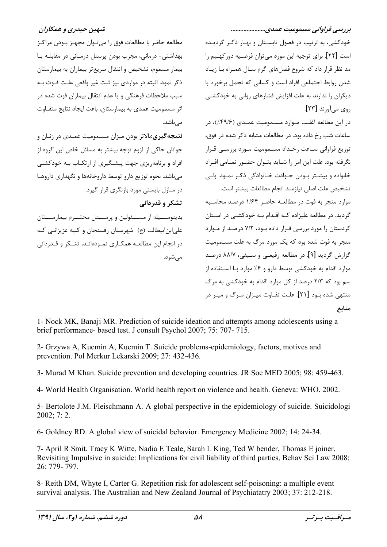مطالعه حاضر با مطالعات فوق را مي تـوان مجهـز بـودن مراكـز بهداشتے – درمانے، مجرب بودن پرسنل درمـانے در مقابلــه بـا بيمار مسموم، تشخيص و انتقال سريعتر بيماران به بيمارستان ذکر نمود. البته در مواردی نیز ثبت غیر واقعی علـت فـوت بـه سبب ملاحظات فرهنگی و یا عدم انتقال بیماران فوت شده در اثر مسمومیت عمدی به بیمارستان، باعث ایجاد نتایج متفـاوت مے باشد.

**نتیجهگیری:**بالاتر بودن میزان مسـمومیت عمـدی در زنـان و جوانان حاکی از لزوم توجه بیشتر به مسائل خاص این گروه از افراد و برنامهریزی جهت پیشگیری از ارتکـاب بـه خودکشـی می باشد. نحوه توزیع دارو توسط داروخانهها و نگهداری داروهـا در منازل بایستی مورد بازنگری قرار گیرد. تشکر و قدردانی

بدینوســیله از مســئولین و پرســنل محتــرم بیمارســتان علي ابن ابيطالب (ع) شهرستان رفسنجان و كليه عزيزانـي كـه در انجام این مطالعـه همکـاری نمـودهانـد، تشـکر و قـدردانی مے شود.

خودکشی، به ترتیب در فصول تابسـتان و بهـار ذکـر گردیـده است [۲۲]. برای توجیه این مورد می توان فرضـیه دور کهـیم را مد نظر قرار داد که شروع فصلهای گرم سـال همـراه بـا زيـاد شدن ,وابط اجتماعی افراد است و کسانی که تحمل برخورد با دیگران را ندارند به علت افزایش فشارهای روانی به خودکشـی روي مي آورند [٢٣]. در این مطالعه اغلب مـوارد مسـمومیت عمـدی (۴۹/۶٪)، در ساعات شب رخ داده بود. در مطالعات مشابه ذکر شده در فوق،

توزيع فراواني سـاعت رخـداد مسـموميت مـورد بررسـي قـرار نگرفته بود. علت این امر را شـاید بتـوان حضـور تمـامی افـراد خانواده و بیشـتر بـودن حـوادث خـانوادگی ذکـر نمـود. ولـی تشخيص علت اصلى نيازمند انجام مطالعات بيشتر است. موارد منجر به فوت در مطالعـه حاضـر ۱/۶۴ درصـد محاسـبه گردید. در مطالعه علیزاده کـه اقـدام بـه خودکشـی در اسـتان کردستان را مورد بررسی قـرار داده بـود، ۷/۲ درصـد از مـوارد منجر به فوت شده بود که یک مورد مرگ به علت مســمومیت گزارش گردید [۹]. در مطالعه رفیعبی و سـیفی، ۸۸/۷ درصـد موارد اقدام به خودکشی توسط دارو و ۶٪ موارد بـا اســتفاده از سم بود که ۲/۳ درصد از کل موارد اقدام به خودکشی به مرگ منتهی شده بود [۲۱]. علت تفـاوت میـزان مـرگ و میـر در منابع

1- Nock MK, Banaji MR. Prediction of suicide ideation and attempts among adolescents using a brief performance- based test. J consult Psychol 2007; 75: 707-715.

2- Grzywa A, Kucmin A, Kucmin T. Suicide problems-epidemiology, factors, motives and prevention. Pol Merkur Lekarski 2009; 27: 432-436.

3- Murad M Khan. Suicide prevention and developing countries. JR Soc MED 2005; 98: 459-463.

4- World Health Organisation. World health report on violence and health. Geneva: WHO. 2002.

5- Bertolote J.M. Fleischmann A. A global perspective in the epidemiology of suicide. Suicidologi  $2002; 7:2.$ 

6- Goldney RD. A global view of suicidal behavior. Emergency Medicine 2002: 14: 24-34.

7- April R Smit. Tracy K Witte, Nadia E Teale, Sarah L King, Ted W bender, Thomas E joiner. Revisiting Impulsive in suicide: Implications for civil liability of third parties, Behav Sci Law 2008;  $26 \cdot 779 - 797$ 

8- Reith DM, Whyte I, Carter G. Repetition risk for adolescent self-poisoning: a multiple event survival analysis. The Australian and New Zealand Journal of Psychiatatry 2003; 37: 212-218.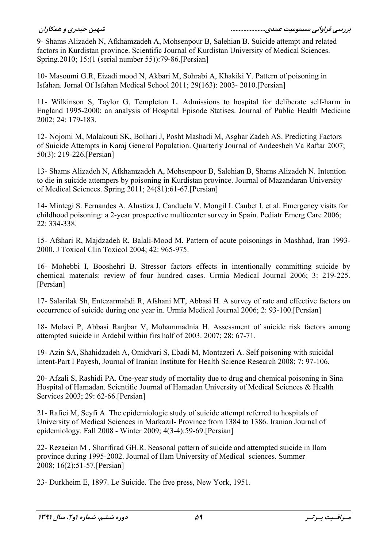9- Shams Alizadeh N, Afkhamzadeh A, Mohsenpour B, Salehian B. Suicide attempt and related factors in Kurdistan province. Scientific Journal of Kurdistan University of Medical Sciences. Spring.  $2010$ ;  $15:(1$  (serial number 55)): 79-86. [Persian]

10- Masoumi G.R, Eizadi mood N, Akbari M, Sohrabi A, Khakiki Y. Pattern of poisoning in Isfahan. Jornal Of Isfahan Medical School 2011; 29(163): 2003-2010. [Persian]

11- Wilkinson S, Taylor G, Templeton L. Admissions to hospital for deliberate self-harm in England 1995-2000: an analysis of Hospital Episode Statises. Journal of Public Health Medicine 2002; 24: 179-183.

12- Nojomi M, Malakouti SK, Bolhari J, Posht Mashadi M, Asghar Zadeh AS. Predicting Factors of Suicide Attempts in Karaj General Population. Quarterly Journal of Andeesheh Va Raftar 2007;  $50(3)$ : 219-226. [Persian]

13- Shams Alizadeh N, Afkhamzadeh A, Mohsenpour B, Salehian B, Shams Alizadeh N. Intention to die in suicide attempers by poisoning in Kurdistan province. Journal of Mazandaran University of Medical Sciences. Spring 2011; 24(81):61-67.[Persian]

14- Mintegi S. Fernandes A. Alustiza J, Canduela V. Mongil I. Caubet I. et al. Emergency visits for childhood poisoning: a 2-year prospective multicenter survey in Spain. Pediatr Emerg Care 2006; 22: 334-338.

15- Afshari R, Majdzadeh R, Balali-Mood M. Pattern of acute poisonings in Mashhad, Iran 1993-2000. J Toxicol Clin Toxicol 2004; 42: 965-975.

16- Mohebbi I, Booshehri B. Stressor factors effects in intentionally committing suicide by chemical materials: review of four hundred cases. Urmia Medical Journal 2006; 3: 219-225. [Persian]

17- Salarilak Sh, Entezarmahdi R, Afshani MT, Abbasi H. A survey of rate and effective factors on occurrence of suicide during one year in. Urmia Medical Journal 2006; 2: 93-100. [Persian]

18- Molavi P, Abbasi Ranjbar V, Mohammadnia H. Assessment of suicide risk factors among attempted suicide in Ardebil within firs half of 2003. 2007; 28: 67-71.

19- Azin SA, Shahidzadeh A, Omidvari S, Ebadi M, Montazeri A. Self poisoning with suicidal intent-Part I Payesh, Journal of Iranian Institute for Health Science Research 2008: 7: 97-106.

20- Afzali S, Rashidi PA. One-year study of mortality due to drug and chemical poisoning in Sina Hospital of Hamadan. Scientific Journal of Hamadan University of Medical Sciences & Health Services  $2003: 29: 62-66$ . [Persian]

21- Rafiei M, Seyfi A. The epidemiologic study of suicide attempt referred to hospitals of University of Medical Sciences in MarkaziI- Province from 1384 to 1386. Iranian Journal of epidemiology. Fall 2008 - Winter 2009; 4(3-4):59-69.[Persian]

22- Rezaeian M, Sharifirad GH.R. Seasonal pattern of suicide and attempted suicide in Ilam province during 1995-2002. Journal of Ilam University of Medical sciences. Summer 2008;  $16(2):51-57$ . [Persian]

23- Durkheim E, 1897. Le Suicide. The free press, New York, 1951.